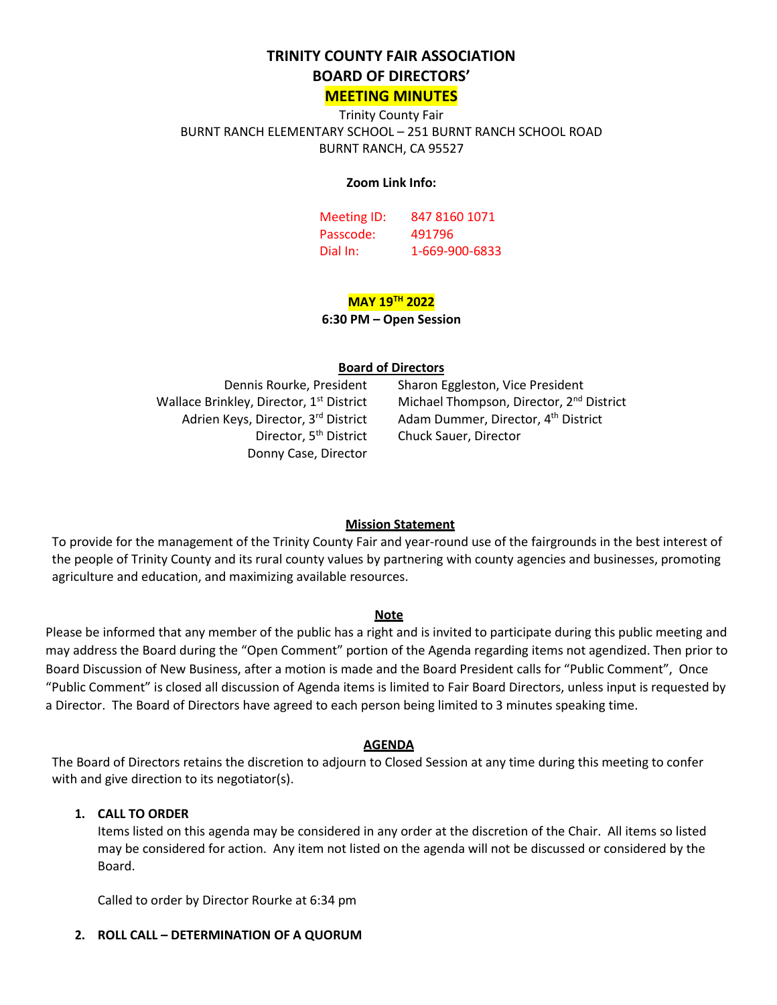# **TRINITY COUNTY FAIR ASSOCIATION BOARD OF DIRECTORS'**

# **MEETING MINUTES**

Trinity County Fair BURNT RANCH ELEMENTARY SCHOOL – 251 BURNT RANCH SCHOOL ROAD BURNT RANCH, CA 95527

#### **Zoom Link Info:**

Meeting ID: 847 8160 1071 Passcode: 491796 Dial In: 1-669-900-6833

# **MAY 19TH 2022**

### **6:30 PM – Open Session**

### **Board of Directors**

Wallace Brinkley, Director, 1<sup>st</sup> District Adrien Keys, Director, 3rd District Director, 5<sup>th</sup> District Donny Case, Director

Dennis Rourke, President Sharon Eggleston, Vice President Michael Thompson, Director, 2<sup>nd</sup> District Adam Dummer, Director, 4<sup>th</sup> District Chuck Sauer, Director

# **Mission Statement**

To provide for the management of the Trinity County Fair and year-round use of the fairgrounds in the best interest of the people of Trinity County and its rural county values by partnering with county agencies and businesses, promoting agriculture and education, and maximizing available resources.

### **Note**

Please be informed that any member of the public has a right and is invited to participate during this public meeting and may address the Board during the "Open Comment" portion of the Agenda regarding items not agendized. Then prior to Board Discussion of New Business, after a motion is made and the Board President calls for "Public Comment", Once "Public Comment" is closed all discussion of Agenda items is limited to Fair Board Directors, unless input is requested by a Director. The Board of Directors have agreed to each person being limited to 3 minutes speaking time.

### **AGENDA**

The Board of Directors retains the discretion to adjourn to Closed Session at any time during this meeting to confer with and give direction to its negotiator(s).

# **1. CALL TO ORDER**

Items listed on this agenda may be considered in any order at the discretion of the Chair. All items so listed may be considered for action. Any item not listed on the agenda will not be discussed or considered by the Board.

Called to order by Director Rourke at 6:34 pm

### **2. ROLL CALL – DETERMINATION OF A QUORUM**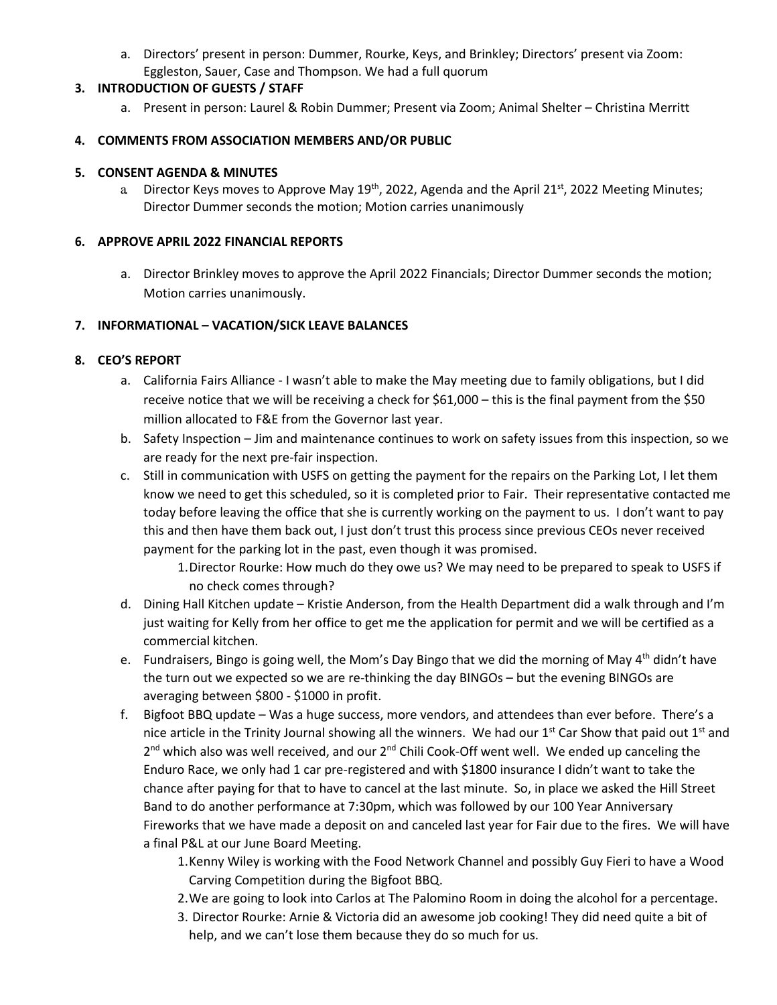a. Directors' present in person: Dummer, Rourke, Keys, and Brinkley; Directors' present via Zoom: Eggleston, Sauer, Case and Thompson. We had a full quorum

# **3. INTRODUCTION OF GUESTS / STAFF**

a. Present in person: Laurel & Robin Dummer; Present via Zoom; Animal Shelter – Christina Merritt

# **4. COMMENTS FROM ASSOCIATION MEMBERS AND/OR PUBLIC**

### **5. CONSENT AGENDA & MINUTES**

a. Director Keys moves to Approve May 19<sup>th</sup>, 2022, Agenda and the April 21<sup>st</sup>, 2022 Meeting Minutes; Director Dummer seconds the motion; Motion carries unanimously

### **6. APPROVE APRIL 2022 FINANCIAL REPORTS**

a. Director Brinkley moves to approve the April 2022 Financials; Director Dummer seconds the motion; Motion carries unanimously.

# **7. INFORMATIONAL – VACATION/SICK LEAVE BALANCES**

# **8. CEO'S REPORT**

- a. California Fairs Alliance I wasn't able to make the May meeting due to family obligations, but I did receive notice that we will be receiving a check for \$61,000 – this is the final payment from the \$50 million allocated to F&E from the Governor last year.
- b. Safety Inspection Jim and maintenance continues to work on safety issues from this inspection, so we are ready for the next pre-fair inspection.
- c. Still in communication with USFS on getting the payment for the repairs on the Parking Lot, I let them know we need to get this scheduled, so it is completed prior to Fair. Their representative contacted me today before leaving the office that she is currently working on the payment to us. I don't want to pay this and then have them back out, I just don't trust this process since previous CEOs never received payment for the parking lot in the past, even though it was promised.
	- 1.Director Rourke: How much do they owe us? We may need to be prepared to speak to USFS if no check comes through?
- d. Dining Hall Kitchen update Kristie Anderson, from the Health Department did a walk through and I'm just waiting for Kelly from her office to get me the application for permit and we will be certified as a commercial kitchen.
- e. Fundraisers, Bingo is going well, the Mom's Day Bingo that we did the morning of May 4<sup>th</sup> didn't have the turn out we expected so we are re-thinking the day BINGOs – but the evening BINGOs are averaging between \$800 - \$1000 in profit.
- f. Bigfoot BBQ update Was a huge success, more vendors, and attendees than ever before. There's a nice article in the Trinity Journal showing all the winners. We had our 1<sup>st</sup> Car Show that paid out 1<sup>st</sup> and  $2^{nd}$  which also was well received, and our  $2^{nd}$  Chili Cook-Off went well. We ended up canceling the Enduro Race, we only had 1 car pre-registered and with \$1800 insurance I didn't want to take the chance after paying for that to have to cancel at the last minute. So, in place we asked the Hill Street Band to do another performance at 7:30pm, which was followed by our 100 Year Anniversary Fireworks that we have made a deposit on and canceled last year for Fair due to the fires. We will have a final P&L at our June Board Meeting.
	- 1.Kenny Wiley is working with the Food Network Channel and possibly Guy Fieri to have a Wood Carving Competition during the Bigfoot BBQ.
	- 2.We are going to look into Carlos at The Palomino Room in doing the alcohol for a percentage.
	- 3. Director Rourke: Arnie & Victoria did an awesome job cooking! They did need quite a bit of help, and we can't lose them because they do so much for us.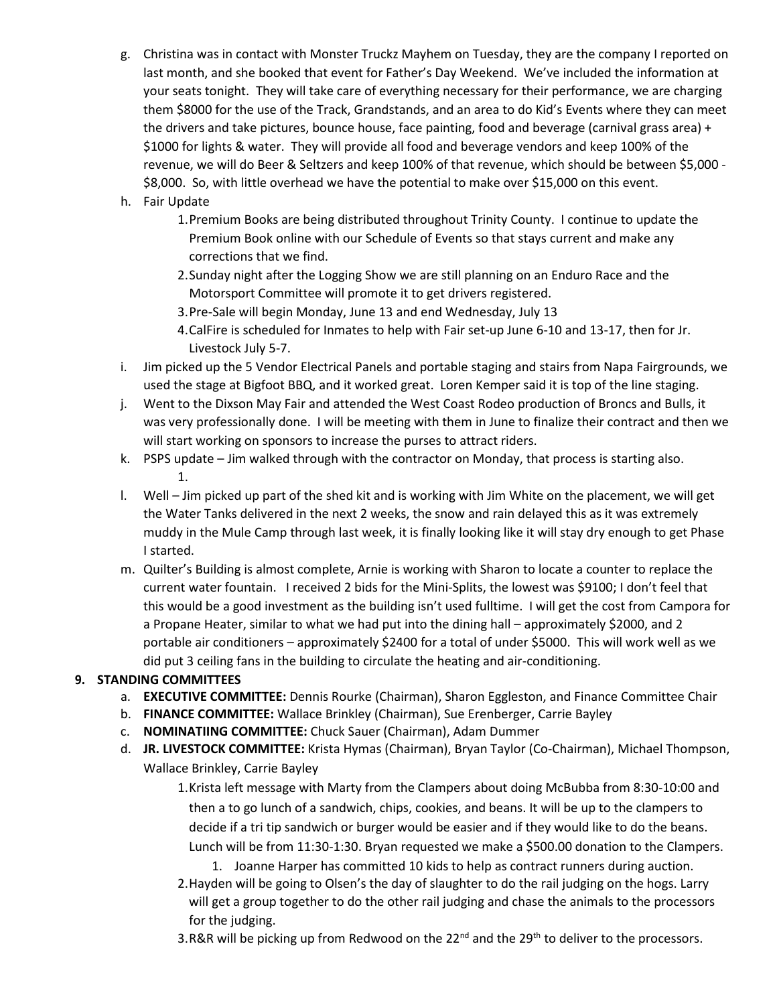- g. Christina was in contact with Monster Truckz Mayhem on Tuesday, they are the company I reported on last month, and she booked that event for Father's Day Weekend. We've included the information at your seats tonight. They will take care of everything necessary for their performance, we are charging them \$8000 for the use of the Track, Grandstands, and an area to do Kid's Events where they can meet the drivers and take pictures, bounce house, face painting, food and beverage (carnival grass area) + \$1000 for lights & water. They will provide all food and beverage vendors and keep 100% of the revenue, we will do Beer & Seltzers and keep 100% of that revenue, which should be between \$5,000 - \$8,000. So, with little overhead we have the potential to make over \$15,000 on this event.
- h. Fair Update
	- 1.Premium Books are being distributed throughout Trinity County. I continue to update the Premium Book online with our Schedule of Events so that stays current and make any corrections that we find.
	- 2.Sunday night after the Logging Show we are still planning on an Enduro Race and the Motorsport Committee will promote it to get drivers registered.
	- 3.Pre-Sale will begin Monday, June 13 and end Wednesday, July 13
	- 4.CalFire is scheduled for Inmates to help with Fair set-up June 6-10 and 13-17, then for Jr. Livestock July 5-7.
- i. Jim picked up the 5 Vendor Electrical Panels and portable staging and stairs from Napa Fairgrounds, we used the stage at Bigfoot BBQ, and it worked great. Loren Kemper said it is top of the line staging.
- j. Went to the Dixson May Fair and attended the West Coast Rodeo production of Broncs and Bulls, it was very professionally done. I will be meeting with them in June to finalize their contract and then we will start working on sponsors to increase the purses to attract riders.
- k. PSPS update Jim walked through with the contractor on Monday, that process is starting also. 1.
- l. Well Jim picked up part of the shed kit and is working with Jim White on the placement, we will get the Water Tanks delivered in the next 2 weeks, the snow and rain delayed this as it was extremely muddy in the Mule Camp through last week, it is finally looking like it will stay dry enough to get Phase I started.
- m. Quilter's Building is almost complete, Arnie is working with Sharon to locate a counter to replace the current water fountain. I received 2 bids for the Mini-Splits, the lowest was \$9100; I don't feel that this would be a good investment as the building isn't used fulltime. I will get the cost from Campora for a Propane Heater, similar to what we had put into the dining hall – approximately \$2000, and 2 portable air conditioners – approximately \$2400 for a total of under \$5000. This will work well as we did put 3 ceiling fans in the building to circulate the heating and air-conditioning.

# **9. STANDING COMMITTEES**

- a. **EXECUTIVE COMMITTEE:** Dennis Rourke (Chairman), Sharon Eggleston, and Finance Committee Chair
- b. **FINANCE COMMITTEE:** Wallace Brinkley (Chairman), Sue Erenberger, Carrie Bayley
- c. **NOMINATIING COMMITTEE:** Chuck Sauer (Chairman), Adam Dummer
- d. **JR. LIVESTOCK COMMITTEE:** Krista Hymas (Chairman), Bryan Taylor (Co-Chairman), Michael Thompson, Wallace Brinkley, Carrie Bayley
	- 1.Krista left message with Marty from the Clampers about doing McBubba from 8:30-10:00 and then a to go lunch of a sandwich, chips, cookies, and beans. It will be up to the clampers to decide if a tri tip sandwich or burger would be easier and if they would like to do the beans. Lunch will be from 11:30-1:30. Bryan requested we make a \$500.00 donation to the Clampers.
		- 1. Joanne Harper has committed 10 kids to help as contract runners during auction.
	- 2.Hayden will be going to Olsen's the day of slaughter to do the rail judging on the hogs. Larry will get a group together to do the other rail judging and chase the animals to the processors for the judging.
	- 3.R&R will be picking up from Redwood on the 22<sup>nd</sup> and the 29<sup>th</sup> to deliver to the processors.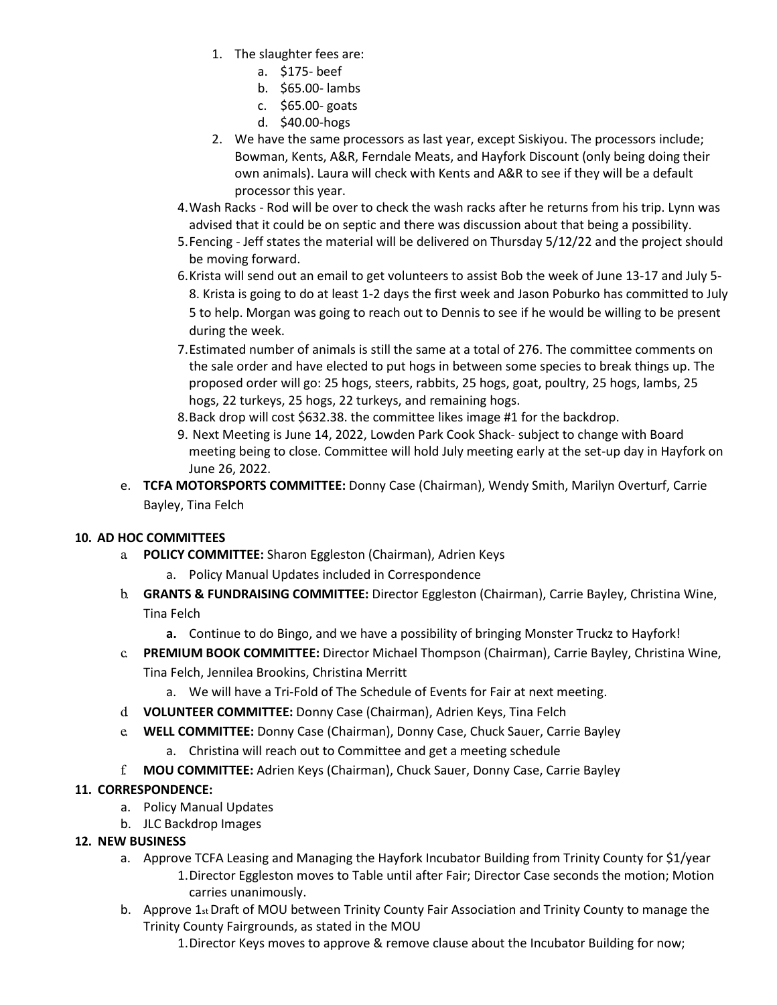- 1. The slaughter fees are:
	- a. \$175- beef
	- b. \$65.00- lambs
	- c. \$65.00- goats
	- d. \$40.00-hogs
- 2. We have the same processors as last year, except Siskiyou. The processors include; Bowman, Kents, A&R, Ferndale Meats, and Hayfork Discount (only being doing their own animals). Laura will check with Kents and A&R to see if they will be a default processor this year.
- 4.Wash Racks Rod will be over to check the wash racks after he returns from his trip. Lynn was advised that it could be on septic and there was discussion about that being a possibility.
- 5.Fencing Jeff states the material will be delivered on Thursday 5/12/22 and the project should be moving forward.
- 6.Krista will send out an email to get volunteers to assist Bob the week of June 13-17 and July 5- 8. Krista is going to do at least 1-2 days the first week and Jason Poburko has committed to July 5 to help. Morgan was going to reach out to Dennis to see if he would be willing to be present during the week.
- 7.Estimated number of animals is still the same at a total of 276. The committee comments on the sale order and have elected to put hogs in between some species to break things up. The proposed order will go: 25 hogs, steers, rabbits, 25 hogs, goat, poultry, 25 hogs, lambs, 25 hogs, 22 turkeys, 25 hogs, 22 turkeys, and remaining hogs.
- 8.Back drop will cost \$632.38. the committee likes image #1 for the backdrop.
- 9. Next Meeting is June 14, 2022, Lowden Park Cook Shack- subject to change with Board meeting being to close. Committee will hold July meeting early at the set-up day in Hayfork on June 26, 2022.
- e. **TCFA MOTORSPORTS COMMITTEE:** Donny Case (Chairman), Wendy Smith, Marilyn Overturf, Carrie Bayley, Tina Felch

# **10. AD HOC COMMITTEES**

- a. **POLICY COMMITTEE:** Sharon Eggleston (Chairman), Adrien Keys
	- a. Policy Manual Updates included in Correspondence
- b. **GRANTS & FUNDRAISING COMMITTEE:** Director Eggleston (Chairman), Carrie Bayley, Christina Wine, Tina Felch
	- **a.** Continue to do Bingo, and we have a possibility of bringing Monster Truckz to Hayfork!
- c. **PREMIUM BOOK COMMITTEE:** Director Michael Thompson (Chairman), Carrie Bayley, Christina Wine, Tina Felch, Jennilea Brookins, Christina Merritt
	- a. We will have a Tri-Fold of The Schedule of Events for Fair at next meeting.
- d. **VOLUNTEER COMMITTEE:** Donny Case (Chairman), Adrien Keys, Tina Felch
- e. **WELL COMMITTEE:** Donny Case (Chairman), Donny Case, Chuck Sauer, Carrie Bayley
	- a. Christina will reach out to Committee and get a meeting schedule
- f. **MOU COMMITTEE:** Adrien Keys (Chairman), Chuck Sauer, Donny Case, Carrie Bayley

# **11. CORRESPONDENCE:**

- a. Policy Manual Updates
- b. JLC Backdrop Images

# **12. NEW BUSINESS**

- a. Approve TCFA Leasing and Managing the Hayfork Incubator Building from Trinity County for \$1/year 1.Director Eggleston moves to Table until after Fair; Director Case seconds the motion; Motion carries unanimously.
- b. Approve  $1_{st}$  Draft of MOU between Trinity County Fair Association and Trinity County to manage the Trinity County Fairgrounds, as stated in the MOU
	- 1.Director Keys moves to approve & remove clause about the Incubator Building for now;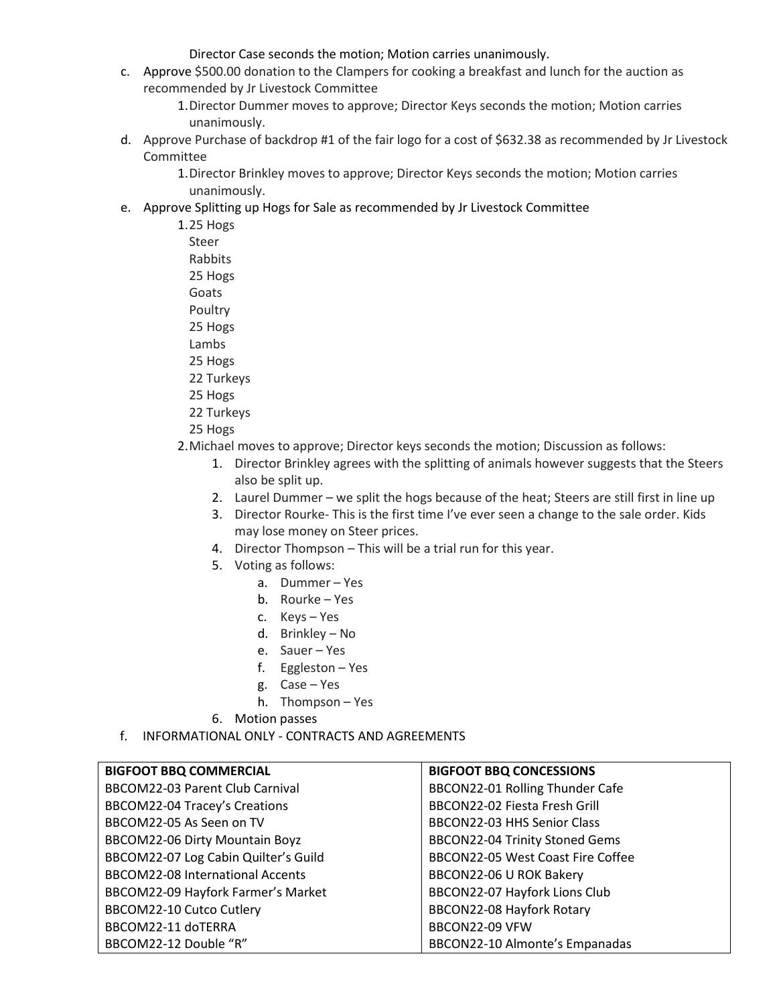Director Case seconds the motion; Motion carries unanimously.

c. Approve \$500.00 donation to the Clampers for cooking a breakfast and lunch for the auction as recommended by Jr Livestock Committee

> 1.Director Dummer moves to approve; Director Keys seconds the motion; Motion carries unanimously.

d. Approve Purchase of backdrop #1 of the fair logo for a cost of \$632.38 as recommended by Jr Livestock Committee

1.Director Brinkley moves to approve; Director Keys seconds the motion; Motion carries unanimously.

e. Approve Splitting up Hogs for Sale as recommended by Jr Livestock Committee

1.25 Hogs Steer Rabbits 25 Hogs

Goats

Poultry

25 Hogs

- Lambs
- 25 Hogs
- 22 Turkeys
- 25 Hogs
- 22 Turkeys
- 25 Hogs
- 2.Michael moves to approve; Director keys seconds the motion; Discussion as follows:
	- 1. Director Brinkley agrees with the splitting of animals however suggests that the Steers also be split up.
	- 2. Laurel Dummer we split the hogs because of the heat; Steers are still first in line up
	- 3. Director Rourke- This is the first time I've ever seen a change to the sale order. Kids may lose money on Steer prices.
	- 4. Director Thompson This will be a trial run for this year.
	- 5. Voting as follows:
		- a. Dummer Yes
		- b. Rourke Yes
		- c. Keys Yes
		- d. Brinkley No
		- e. Sauer Yes
		- f. Eggleston Yes
		- g. Case Yes
		- h. Thompson Yes
	- 6. Motion passes
- f. INFORMATIONAL ONLY CONTRACTS AND AGREEMENTS

| <b>BIGFOOT BBQ COMMERCIAL</b>           | <b>BIGFOOT BBQ CONCESSIONS</b>    |
|-----------------------------------------|-----------------------------------|
| BBCOM22-03 Parent Club Carnival         | BBCON22-01 Rolling Thunder Cafe   |
| <b>BBCOM22-04 Tracey's Creations</b>    | BBCON22-02 Fiesta Fresh Grill     |
| BBCOM22-05 As Seen on TV                | BBCON22-03 HHS Senior Class       |
| BBCOM22-06 Dirty Mountain Boyz          | BBCON22-04 Trinity Stoned Gems    |
| BBCOM22-07 Log Cabin Quilter's Guild    | BBCON22-05 West Coast Fire Coffee |
| <b>BBCOM22-08 International Accents</b> | BBCON22-06 U ROK Bakery           |
| BBCOM22-09 Hayfork Farmer's Market      | BBCON22-07 Hayfork Lions Club     |
| BBCOM22-10 Cutco Cutlery                | BBCON22-08 Hayfork Rotary         |
| BBCOM22-11 doTERRA                      | BBCON22-09 VFW                    |
| BBCOM22-12 Double "R"                   | BBCON22-10 Almonte's Empanadas    |